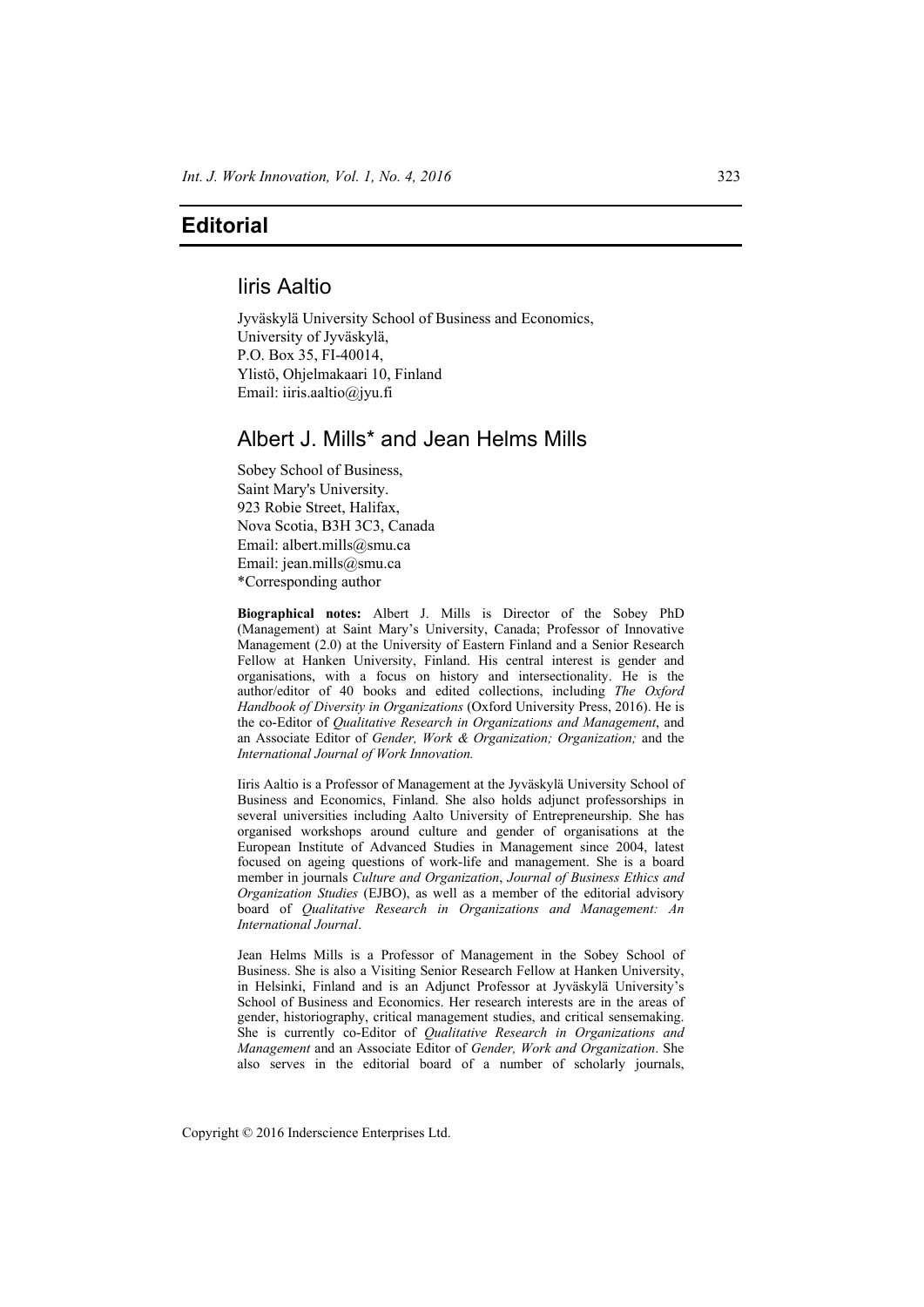## Iiris Aaltio

Jyväskylä University School of Business and Economics, University of Jyväskylä, P.O. Box 35, FI-40014, Ylistö, Ohjelmakaari 10, Finland Email: iiris.aaltio@jyu.fi

# Albert J. Mills\* and Jean Helms Mills

Sobey School of Business, Saint Mary's University. 923 Robie Street, Halifax, Nova Scotia, B3H 3C3, Canada Email: albert.mills@smu.ca Email: jean.mills@smu.ca \*Corresponding author

**Biographical notes:** Albert J. Mills is Director of the Sobey PhD (Management) at Saint Mary's University, Canada; Professor of Innovative Management (2.0) at the University of Eastern Finland and a Senior Research Fellow at Hanken University, Finland. His central interest is gender and organisations, with a focus on history and intersectionality. He is the author/editor of 40 books and edited collections, including *The Oxford Handbook of Diversity in Organizations* (Oxford University Press, 2016). He is the co-Editor of *Qualitative Research in Organizations and Management*, and an Associate Editor of *Gender, Work & Organization; Organization;* and the *International Journal of Work Innovation.*

Iiris Aaltio is a Professor of Management at the Jyväskylä University School of Business and Economics, Finland. She also holds adjunct professorships in several universities including Aalto University of Entrepreneurship. She has organised workshops around culture and gender of organisations at the European Institute of Advanced Studies in Management since 2004, latest focused on ageing questions of work-life and management. She is a board member in journals *Culture and Organization*, *Journal of Business Ethics and Organization Studies* (EJBO), as well as a member of the editorial advisory board of *Qualitative Research in Organizations and Management: An International Journal*.

Jean Helms Mills is a Professor of Management in the Sobey School of Business. She is also a Visiting Senior Research Fellow at Hanken University, in Helsinki, Finland and is an Adjunct Professor at Jyväskylä University's School of Business and Economics. Her research interests are in the areas of gender, historiography, critical management studies, and critical sensemaking. She is currently co-Editor of *Qualitative Research in Organizations and Management* and an Associate Editor of *Gender, Work and Organization*. She also serves in the editorial board of a number of scholarly journals,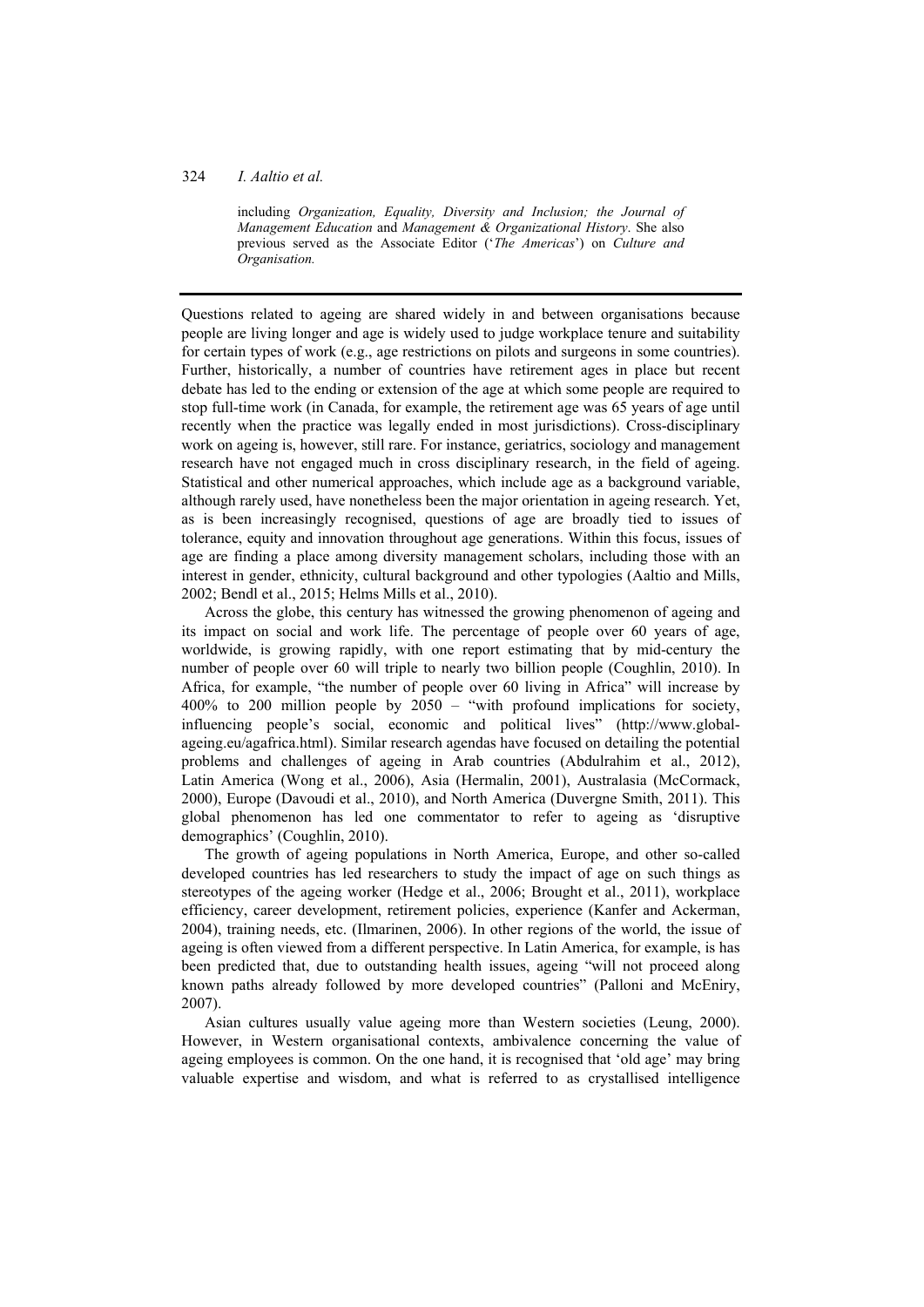### 324 *I. Aaltio et al.*

including *Organization, Equality, Diversity and Inclusion; the Journal of Management Education* and *Management & Organizational History*. She also previous served as the Associate Editor ('*The Americas*') on *Culture and Organisation.*

Questions related to ageing are shared widely in and between organisations because people are living longer and age is widely used to judge workplace tenure and suitability for certain types of work (e.g., age restrictions on pilots and surgeons in some countries). Further, historically, a number of countries have retirement ages in place but recent debate has led to the ending or extension of the age at which some people are required to stop full-time work (in Canada, for example, the retirement age was 65 years of age until recently when the practice was legally ended in most jurisdictions). Cross-disciplinary work on ageing is, however, still rare. For instance, geriatrics, sociology and management research have not engaged much in cross disciplinary research, in the field of ageing. Statistical and other numerical approaches, which include age as a background variable, although rarely used, have nonetheless been the major orientation in ageing research. Yet, as is been increasingly recognised, questions of age are broadly tied to issues of tolerance, equity and innovation throughout age generations. Within this focus, issues of age are finding a place among diversity management scholars, including those with an interest in gender, ethnicity, cultural background and other typologies (Aaltio and Mills, 2002; Bendl et al., 2015; Helms Mills et al., 2010).

Across the globe, this century has witnessed the growing phenomenon of ageing and its impact on social and work life. The percentage of people over 60 years of age, worldwide, is growing rapidly, with one report estimating that by mid-century the number of people over 60 will triple to nearly two billion people (Coughlin, 2010). In Africa, for example, "the number of people over 60 living in Africa" will increase by 400% to 200 million people by 2050 – "with profound implications for society, influencing people's social, economic and political lives" (http://www.globalageing.eu/agafrica.html). Similar research agendas have focused on detailing the potential problems and challenges of ageing in Arab countries (Abdulrahim et al., 2012), Latin America (Wong et al., 2006), Asia (Hermalin, 2001), Australasia (McCormack, 2000), Europe (Davoudi et al., 2010), and North America (Duvergne Smith, 2011). This global phenomenon has led one commentator to refer to ageing as 'disruptive demographics' (Coughlin, 2010).

The growth of ageing populations in North America, Europe, and other so-called developed countries has led researchers to study the impact of age on such things as stereotypes of the ageing worker (Hedge et al., 2006; Brought et al., 2011), workplace efficiency, career development, retirement policies, experience (Kanfer and Ackerman, 2004), training needs, etc. (Ilmarinen, 2006). In other regions of the world, the issue of ageing is often viewed from a different perspective. In Latin America, for example, is has been predicted that, due to outstanding health issues, ageing "will not proceed along known paths already followed by more developed countries" (Palloni and McEniry, 2007).

Asian cultures usually value ageing more than Western societies (Leung, 2000). However, in Western organisational contexts, ambivalence concerning the value of ageing employees is common. On the one hand, it is recognised that 'old age' may bring valuable expertise and wisdom, and what is referred to as crystallised intelligence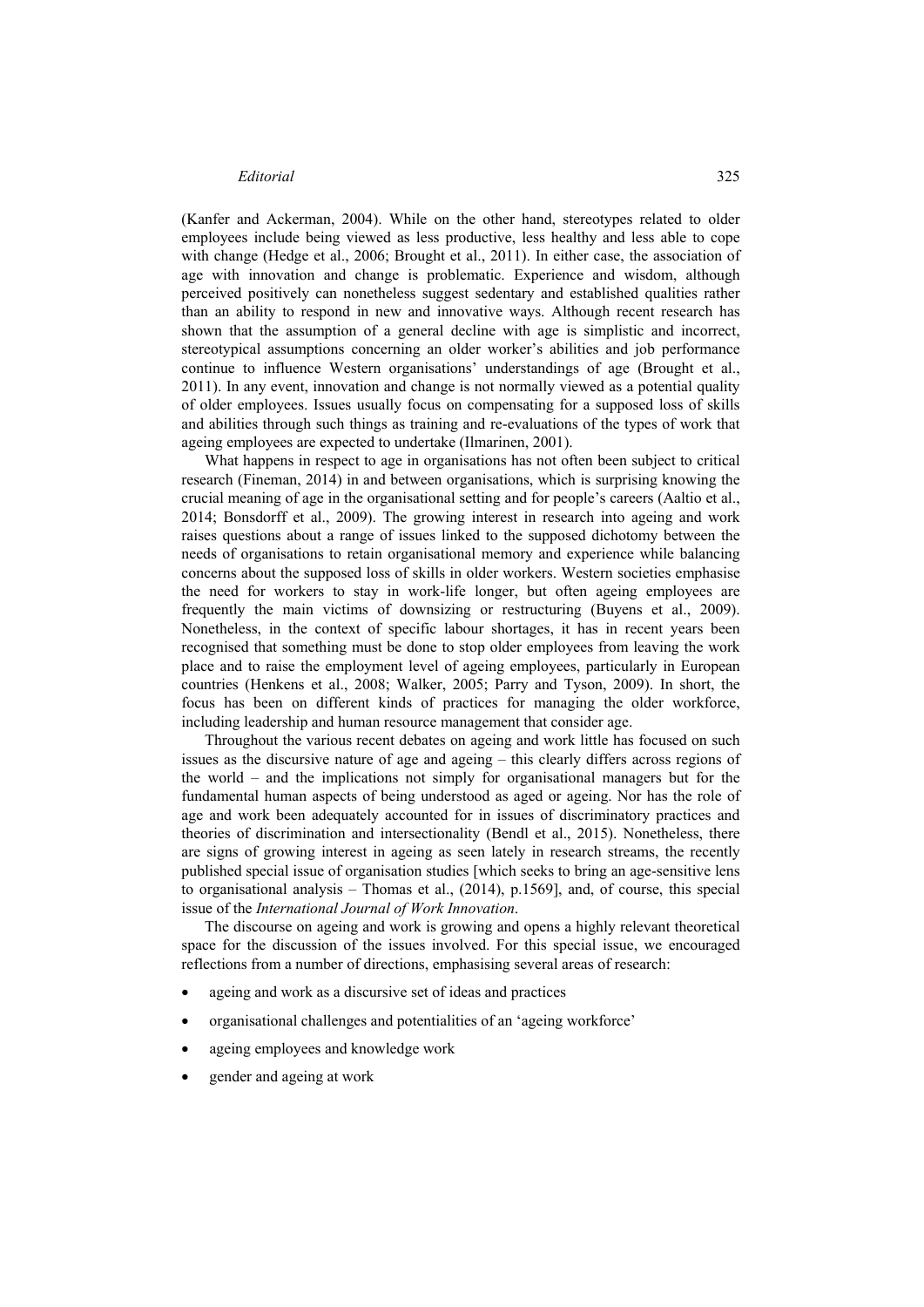(Kanfer and Ackerman, 2004). While on the other hand, stereotypes related to older employees include being viewed as less productive, less healthy and less able to cope with change (Hedge et al., 2006; Brought et al., 2011). In either case, the association of age with innovation and change is problematic. Experience and wisdom, although perceived positively can nonetheless suggest sedentary and established qualities rather than an ability to respond in new and innovative ways. Although recent research has shown that the assumption of a general decline with age is simplistic and incorrect, stereotypical assumptions concerning an older worker's abilities and job performance continue to influence Western organisations' understandings of age (Brought et al., 2011). In any event, innovation and change is not normally viewed as a potential quality of older employees. Issues usually focus on compensating for a supposed loss of skills and abilities through such things as training and re-evaluations of the types of work that ageing employees are expected to undertake (Ilmarinen, 2001).

What happens in respect to age in organisations has not often been subject to critical research (Fineman, 2014) in and between organisations, which is surprising knowing the crucial meaning of age in the organisational setting and for people's careers (Aaltio et al., 2014; Bonsdorff et al., 2009). The growing interest in research into ageing and work raises questions about a range of issues linked to the supposed dichotomy between the needs of organisations to retain organisational memory and experience while balancing concerns about the supposed loss of skills in older workers. Western societies emphasise the need for workers to stay in work-life longer, but often ageing employees are frequently the main victims of downsizing or restructuring (Buyens et al., 2009). Nonetheless, in the context of specific labour shortages, it has in recent years been recognised that something must be done to stop older employees from leaving the work place and to raise the employment level of ageing employees, particularly in European countries (Henkens et al., 2008; Walker, 2005; Parry and Tyson, 2009). In short, the focus has been on different kinds of practices for managing the older workforce, including leadership and human resource management that consider age.

Throughout the various recent debates on ageing and work little has focused on such issues as the discursive nature of age and ageing – this clearly differs across regions of the world – and the implications not simply for organisational managers but for the fundamental human aspects of being understood as aged or ageing. Nor has the role of age and work been adequately accounted for in issues of discriminatory practices and theories of discrimination and intersectionality (Bendl et al., 2015). Nonetheless, there are signs of growing interest in ageing as seen lately in research streams, the recently published special issue of organisation studies [which seeks to bring an age-sensitive lens to organisational analysis – Thomas et al., (2014), p.1569], and, of course, this special issue of the *International Journal of Work Innovation*.

The discourse on ageing and work is growing and opens a highly relevant theoretical space for the discussion of the issues involved. For this special issue, we encouraged reflections from a number of directions, emphasising several areas of research:

- ageing and work as a discursive set of ideas and practices
- organisational challenges and potentialities of an 'ageing workforce'
- ageing employees and knowledge work
- gender and ageing at work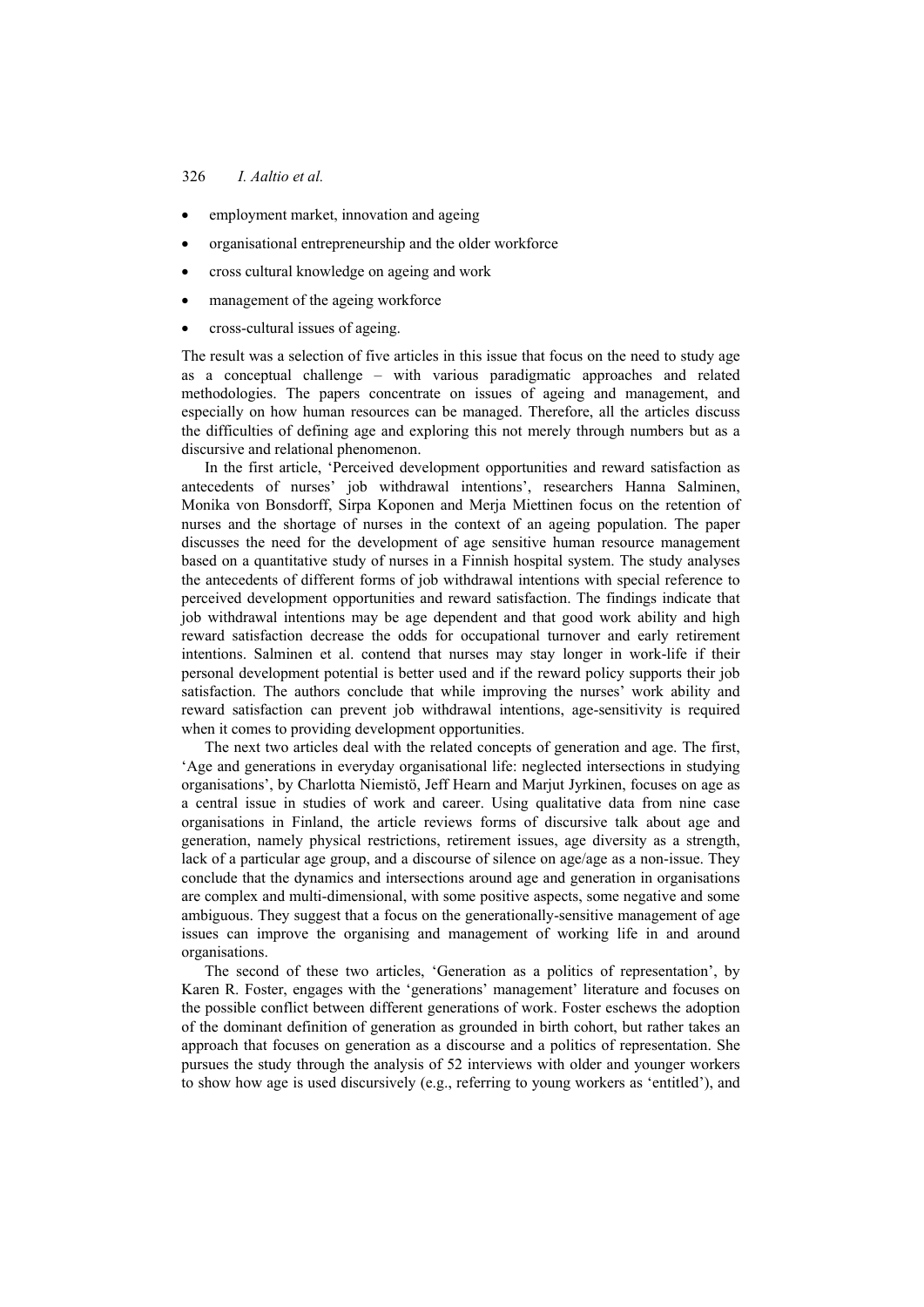## 326 *I. Aaltio et al.*

- employment market, innovation and ageing
- organisational entrepreneurship and the older workforce
- cross cultural knowledge on ageing and work
- management of the ageing workforce
- cross-cultural issues of ageing.

The result was a selection of five articles in this issue that focus on the need to study age as a conceptual challenge – with various paradigmatic approaches and related methodologies. The papers concentrate on issues of ageing and management, and especially on how human resources can be managed. Therefore, all the articles discuss the difficulties of defining age and exploring this not merely through numbers but as a discursive and relational phenomenon.

In the first article, 'Perceived development opportunities and reward satisfaction as antecedents of nurses' job withdrawal intentions', researchers Hanna Salminen, Monika von Bonsdorff, Sirpa Koponen and Merja Miettinen focus on the retention of nurses and the shortage of nurses in the context of an ageing population. The paper discusses the need for the development of age sensitive human resource management based on a quantitative study of nurses in a Finnish hospital system. The study analyses the antecedents of different forms of job withdrawal intentions with special reference to perceived development opportunities and reward satisfaction. The findings indicate that job withdrawal intentions may be age dependent and that good work ability and high reward satisfaction decrease the odds for occupational turnover and early retirement intentions. Salminen et al. contend that nurses may stay longer in work-life if their personal development potential is better used and if the reward policy supports their job satisfaction. The authors conclude that while improving the nurses' work ability and reward satisfaction can prevent job withdrawal intentions, age-sensitivity is required when it comes to providing development opportunities.

The next two articles deal with the related concepts of generation and age. The first, 'Age and generations in everyday organisational life: neglected intersections in studying organisations', by Charlotta Niemistö, Jeff Hearn and Marjut Jyrkinen, focuses on age as a central issue in studies of work and career. Using qualitative data from nine case organisations in Finland, the article reviews forms of discursive talk about age and generation, namely physical restrictions, retirement issues, age diversity as a strength, lack of a particular age group, and a discourse of silence on age/age as a non-issue. They conclude that the dynamics and intersections around age and generation in organisations are complex and multi-dimensional, with some positive aspects, some negative and some ambiguous. They suggest that a focus on the generationally-sensitive management of age issues can improve the organising and management of working life in and around organisations.

The second of these two articles, 'Generation as a politics of representation', by Karen R. Foster, engages with the 'generations' management' literature and focuses on the possible conflict between different generations of work. Foster eschews the adoption of the dominant definition of generation as grounded in birth cohort, but rather takes an approach that focuses on generation as a discourse and a politics of representation. She pursues the study through the analysis of 52 interviews with older and younger workers to show how age is used discursively (e.g., referring to young workers as 'entitled'), and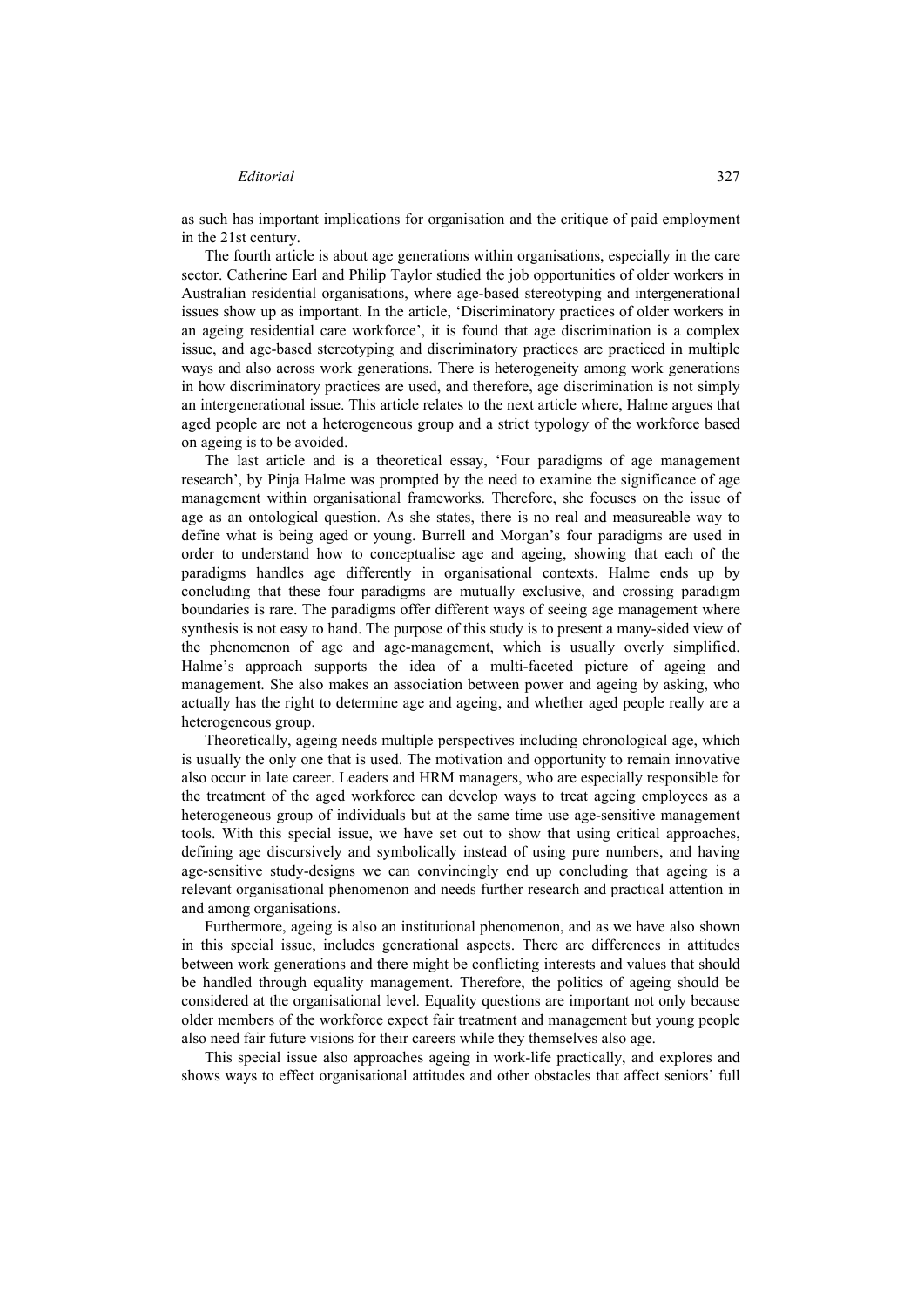as such has important implications for organisation and the critique of paid employment in the 21st century.

The fourth article is about age generations within organisations, especially in the care sector. Catherine Earl and Philip Taylor studied the job opportunities of older workers in Australian residential organisations, where age-based stereotyping and intergenerational issues show up as important. In the article, 'Discriminatory practices of older workers in an ageing residential care workforce', it is found that age discrimination is a complex issue, and age-based stereotyping and discriminatory practices are practiced in multiple ways and also across work generations. There is heterogeneity among work generations in how discriminatory practices are used, and therefore, age discrimination is not simply an intergenerational issue. This article relates to the next article where, Halme argues that aged people are not a heterogeneous group and a strict typology of the workforce based on ageing is to be avoided.

The last article and is a theoretical essay, 'Four paradigms of age management research', by Pinja Halme was prompted by the need to examine the significance of age management within organisational frameworks. Therefore, she focuses on the issue of age as an ontological question. As she states, there is no real and measureable way to define what is being aged or young. Burrell and Morgan's four paradigms are used in order to understand how to conceptualise age and ageing, showing that each of the paradigms handles age differently in organisational contexts. Halme ends up by concluding that these four paradigms are mutually exclusive, and crossing paradigm boundaries is rare. The paradigms offer different ways of seeing age management where synthesis is not easy to hand. The purpose of this study is to present a many-sided view of the phenomenon of age and age-management, which is usually overly simplified. Halme's approach supports the idea of a multi-faceted picture of ageing and management. She also makes an association between power and ageing by asking, who actually has the right to determine age and ageing, and whether aged people really are a heterogeneous group.

Theoretically, ageing needs multiple perspectives including chronological age, which is usually the only one that is used. The motivation and opportunity to remain innovative also occur in late career. Leaders and HRM managers, who are especially responsible for the treatment of the aged workforce can develop ways to treat ageing employees as a heterogeneous group of individuals but at the same time use age-sensitive management tools. With this special issue, we have set out to show that using critical approaches, defining age discursively and symbolically instead of using pure numbers, and having age-sensitive study-designs we can convincingly end up concluding that ageing is a relevant organisational phenomenon and needs further research and practical attention in and among organisations.

Furthermore, ageing is also an institutional phenomenon, and as we have also shown in this special issue, includes generational aspects. There are differences in attitudes between work generations and there might be conflicting interests and values that should be handled through equality management. Therefore, the politics of ageing should be considered at the organisational level. Equality questions are important not only because older members of the workforce expect fair treatment and management but young people also need fair future visions for their careers while they themselves also age.

This special issue also approaches ageing in work-life practically, and explores and shows ways to effect organisational attitudes and other obstacles that affect seniors' full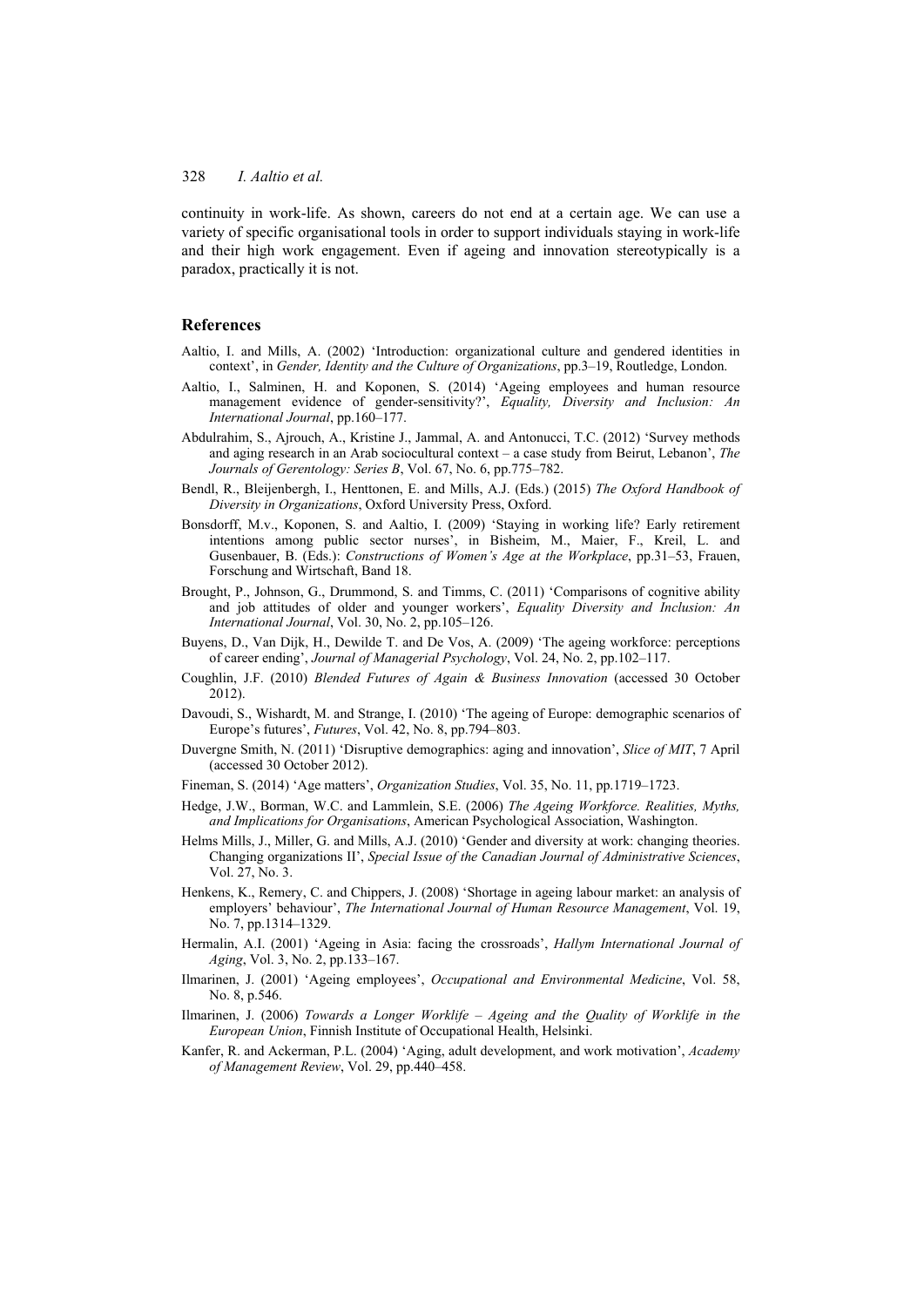### 328 *I. Aaltio et al.*

continuity in work-life. As shown, careers do not end at a certain age. We can use a variety of specific organisational tools in order to support individuals staying in work-life and their high work engagement. Even if ageing and innovation stereotypically is a paradox, practically it is not.

#### **References**

- Aaltio, I. and Mills, A. (2002) 'Introduction: organizational culture and gendered identities in context', in *Gender, Identity and the Culture of Organizations*, pp.3–19, Routledge, London.
- Aaltio, I., Salminen, H. and Koponen, S. (2014) 'Ageing employees and human resource management evidence of gender-sensitivity?', *Equality, Diversity and Inclusion: An International Journal*, pp.160–177.
- Abdulrahim, S., Ajrouch, A., Kristine J., Jammal, A. and Antonucci, T.C. (2012) 'Survey methods and aging research in an Arab sociocultural context – a case study from Beirut, Lebanon', *The Journals of Gerentology: Series B*, Vol. 67, No. 6, pp.775–782.
- Bendl, R., Bleijenbergh, I., Henttonen, E. and Mills, A.J. (Eds.) (2015) *The Oxford Handbook of Diversity in Organizations*, Oxford University Press, Oxford.
- Bonsdorff, M.v., Koponen, S. and Aaltio, I. (2009) 'Staying in working life? Early retirement intentions among public sector nurses', in Bisheim, M., Maier, F., Kreil, L. and Gusenbauer, B. (Eds.): *Constructions of Women's Age at the Workplace*, pp.31–53, Frauen, Forschung and Wirtschaft, Band 18.
- Brought, P., Johnson, G., Drummond, S. and Timms, C. (2011) 'Comparisons of cognitive ability and job attitudes of older and younger workers', *Equality Diversity and Inclusion: An International Journal*, Vol. 30, No. 2, pp.105–126.
- Buyens, D., Van Dijk, H., Dewilde T. and De Vos, A. (2009) 'The ageing workforce: perceptions of career ending', *Journal of Managerial Psychology*, Vol. 24, No. 2, pp.102–117.
- Coughlin, J.F. (2010) *Blended Futures of Again & Business Innovation* (accessed 30 October 2012).
- Davoudi, S., Wishardt, M. and Strange, I. (2010) 'The ageing of Europe: demographic scenarios of Europe's futures', *Futures*, Vol. 42, No. 8, pp.794–803.
- Duvergne Smith, N. (2011) 'Disruptive demographics: aging and innovation', *Slice of MIT*, 7 April (accessed 30 October 2012).
- Fineman, S. (2014) 'Age matters', *Organization Studies*, Vol. 35, No. 11, pp.1719–1723.
- Hedge, J.W., Borman, W.C. and Lammlein, S.E. (2006) *The Ageing Workforce. Realities, Myths, and Implications for Organisations*, American Psychological Association, Washington.
- Helms Mills, J., Miller, G. and Mills, A.J. (2010) 'Gender and diversity at work: changing theories. Changing organizations II', *Special Issue of the Canadian Journal of Administrative Sciences*, Vol. 27, No. 3.
- Henkens, K., Remery, C. and Chippers, J. (2008) 'Shortage in ageing labour market: an analysis of employers' behaviour', *The International Journal of Human Resource Management*, Vol. 19, No. 7, pp.1314–1329.
- Hermalin, A.I. (2001) 'Ageing in Asia: facing the crossroads', *Hallym International Journal of Aging*, Vol. 3, No. 2, pp.133–167.
- Ilmarinen, J. (2001) 'Ageing employees', *Occupational and Environmental Medicine*, Vol. 58, No. 8, p.546.
- Ilmarinen, J. (2006) *Towards a Longer Worklife Ageing and the Quality of Worklife in the European Union*, Finnish Institute of Occupational Health, Helsinki.
- Kanfer, R. and Ackerman, P.L. (2004) 'Aging, adult development, and work motivation', *Academy of Management Review*, Vol. 29, pp.440–458.